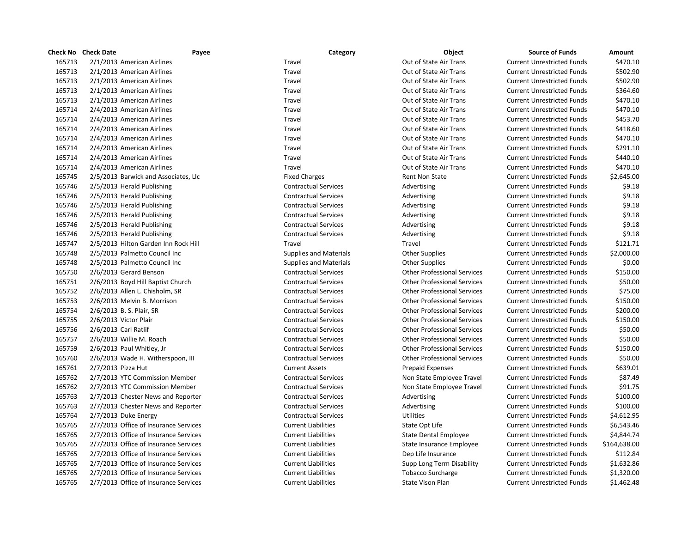|        | <b>Check No</b> Check Date        | Payee                                 | Category                      | Object                             | <b>Source of Funds</b>            | Amount       |
|--------|-----------------------------------|---------------------------------------|-------------------------------|------------------------------------|-----------------------------------|--------------|
| 165713 | 2/1/2013 American Airlines        |                                       | Travel                        | Out of State Air Trans             | <b>Current Unrestricted Funds</b> | \$470.10     |
| 165713 | 2/1/2013 American Airlines        |                                       | Travel                        | Out of State Air Trans             | <b>Current Unrestricted Funds</b> | \$502.90     |
| 165713 | 2/1/2013 American Airlines        |                                       | Travel                        | Out of State Air Trans             | <b>Current Unrestricted Funds</b> | \$502.90     |
| 165713 | 2/1/2013 American Airlines        |                                       | Travel                        | Out of State Air Trans             | <b>Current Unrestricted Funds</b> | \$364.60     |
| 165713 | 2/1/2013 American Airlines        |                                       | Travel                        | Out of State Air Trans             | <b>Current Unrestricted Funds</b> | \$470.10     |
| 165714 | 2/4/2013 American Airlines        |                                       | Travel                        | Out of State Air Trans             | <b>Current Unrestricted Funds</b> | \$470.10     |
| 165714 | 2/4/2013 American Airlines        |                                       | Travel                        | Out of State Air Trans             | <b>Current Unrestricted Funds</b> | \$453.70     |
| 165714 | 2/4/2013 American Airlines        |                                       | Travel                        | Out of State Air Trans             | <b>Current Unrestricted Funds</b> | \$418.60     |
| 165714 | 2/4/2013 American Airlines        |                                       | Travel                        | Out of State Air Trans             | <b>Current Unrestricted Funds</b> | \$470.10     |
| 165714 | 2/4/2013 American Airlines        |                                       | Travel                        | Out of State Air Trans             | <b>Current Unrestricted Funds</b> | \$291.10     |
| 165714 | 2/4/2013 American Airlines        |                                       | Travel                        | Out of State Air Trans             | <b>Current Unrestricted Funds</b> | \$440.10     |
| 165714 | 2/4/2013 American Airlines        |                                       | Travel                        | Out of State Air Trans             | <b>Current Unrestricted Funds</b> | \$470.10     |
| 165745 |                                   | 2/5/2013 Barwick and Associates, Llc  | <b>Fixed Charges</b>          | <b>Rent Non State</b>              | <b>Current Unrestricted Funds</b> | \$2,645.00   |
| 165746 | 2/5/2013 Herald Publishing        |                                       | <b>Contractual Services</b>   | Advertising                        | <b>Current Unrestricted Funds</b> | \$9.18       |
| 165746 | 2/5/2013 Herald Publishing        |                                       | <b>Contractual Services</b>   | Advertising                        | <b>Current Unrestricted Funds</b> | \$9.18       |
| 165746 | 2/5/2013 Herald Publishing        |                                       | <b>Contractual Services</b>   | Advertising                        | <b>Current Unrestricted Funds</b> | \$9.18       |
| 165746 | 2/5/2013 Herald Publishing        |                                       | <b>Contractual Services</b>   | Advertising                        | <b>Current Unrestricted Funds</b> | \$9.18       |
| 165746 | 2/5/2013 Herald Publishing        |                                       | <b>Contractual Services</b>   | Advertising                        | <b>Current Unrestricted Funds</b> | \$9.18       |
| 165746 | 2/5/2013 Herald Publishing        |                                       | <b>Contractual Services</b>   | Advertising                        | <b>Current Unrestricted Funds</b> | \$9.18       |
| 165747 |                                   | 2/5/2013 Hilton Garden Inn Rock Hill  | Travel                        | Travel                             | <b>Current Unrestricted Funds</b> | \$121.71     |
| 165748 | 2/5/2013 Palmetto Council Inc     |                                       | <b>Supplies and Materials</b> | <b>Other Supplies</b>              | <b>Current Unrestricted Funds</b> | \$2,000.00   |
| 165748 | 2/5/2013 Palmetto Council Inc     |                                       | <b>Supplies and Materials</b> | <b>Other Supplies</b>              | <b>Current Unrestricted Funds</b> | \$0.00       |
| 165750 | 2/6/2013 Gerard Benson            |                                       | <b>Contractual Services</b>   | <b>Other Professional Services</b> | <b>Current Unrestricted Funds</b> | \$150.00     |
| 165751 | 2/6/2013 Boyd Hill Baptist Church |                                       | <b>Contractual Services</b>   | <b>Other Professional Services</b> | <b>Current Unrestricted Funds</b> | \$50.00      |
| 165752 | 2/6/2013 Allen L. Chisholm, SR    |                                       | <b>Contractual Services</b>   | <b>Other Professional Services</b> | <b>Current Unrestricted Funds</b> | \$75.00      |
| 165753 | 2/6/2013 Melvin B. Morrison       |                                       | <b>Contractual Services</b>   | <b>Other Professional Services</b> | <b>Current Unrestricted Funds</b> | \$150.00     |
| 165754 | 2/6/2013 B.S. Plair, SR           |                                       | <b>Contractual Services</b>   | <b>Other Professional Services</b> | <b>Current Unrestricted Funds</b> | \$200.00     |
| 165755 | 2/6/2013 Victor Plair             |                                       | <b>Contractual Services</b>   | <b>Other Professional Services</b> | <b>Current Unrestricted Funds</b> | \$150.00     |
| 165756 | 2/6/2013 Carl Ratlif              |                                       | <b>Contractual Services</b>   | <b>Other Professional Services</b> | <b>Current Unrestricted Funds</b> | \$50.00      |
| 165757 | 2/6/2013 Willie M. Roach          |                                       | <b>Contractual Services</b>   | <b>Other Professional Services</b> | <b>Current Unrestricted Funds</b> | \$50.00      |
| 165759 | 2/6/2013 Paul Whitley, Jr         |                                       | <b>Contractual Services</b>   | <b>Other Professional Services</b> | <b>Current Unrestricted Funds</b> | \$150.00     |
| 165760 |                                   | 2/6/2013 Wade H. Witherspoon, III     | <b>Contractual Services</b>   | <b>Other Professional Services</b> | <b>Current Unrestricted Funds</b> | \$50.00      |
| 165761 | 2/7/2013 Pizza Hut                |                                       | <b>Current Assets</b>         | <b>Prepaid Expenses</b>            | <b>Current Unrestricted Funds</b> | \$639.01     |
| 165762 |                                   | 2/7/2013 YTC Commission Member        | <b>Contractual Services</b>   | Non State Employee Travel          | <b>Current Unrestricted Funds</b> | \$87.49      |
| 165762 |                                   | 2/7/2013 YTC Commission Member        | <b>Contractual Services</b>   | Non State Employee Travel          | <b>Current Unrestricted Funds</b> | \$91.75      |
| 165763 |                                   | 2/7/2013 Chester News and Reporter    | <b>Contractual Services</b>   | Advertising                        | <b>Current Unrestricted Funds</b> | \$100.00     |
| 165763 |                                   | 2/7/2013 Chester News and Reporter    | <b>Contractual Services</b>   | Advertising                        | <b>Current Unrestricted Funds</b> | \$100.00     |
| 165764 | 2/7/2013 Duke Energy              |                                       | <b>Contractual Services</b>   | <b>Utilities</b>                   | <b>Current Unrestricted Funds</b> | \$4,612.95   |
| 165765 |                                   | 2/7/2013 Office of Insurance Services | <b>Current Liabilities</b>    | State Opt Life                     | <b>Current Unrestricted Funds</b> | \$6,543.46   |
| 165765 |                                   | 2/7/2013 Office of Insurance Services | <b>Current Liabilities</b>    | <b>State Dental Employee</b>       | <b>Current Unrestricted Funds</b> | \$4,844.74   |
| 165765 |                                   | 2/7/2013 Office of Insurance Services | <b>Current Liabilities</b>    | State Insurance Employee           | <b>Current Unrestricted Funds</b> | \$164,638.00 |
| 165765 |                                   | 2/7/2013 Office of Insurance Services | <b>Current Liabilities</b>    | Dep Life Insurance                 | <b>Current Unrestricted Funds</b> | \$112.84     |
| 165765 |                                   | 2/7/2013 Office of Insurance Services | <b>Current Liabilities</b>    | Supp Long Term Disability          | <b>Current Unrestricted Funds</b> | \$1,632.86   |
| 165765 |                                   | 2/7/2013 Office of Insurance Services | <b>Current Liabilities</b>    | <b>Tobacco Surcharge</b>           | <b>Current Unrestricted Funds</b> | \$1,320.00   |
| 165765 |                                   | 2/7/2013 Office of Insurance Services | <b>Current Liabilities</b>    | State Vison Plan                   | <b>Current Unrestricted Funds</b> | \$1,462.48   |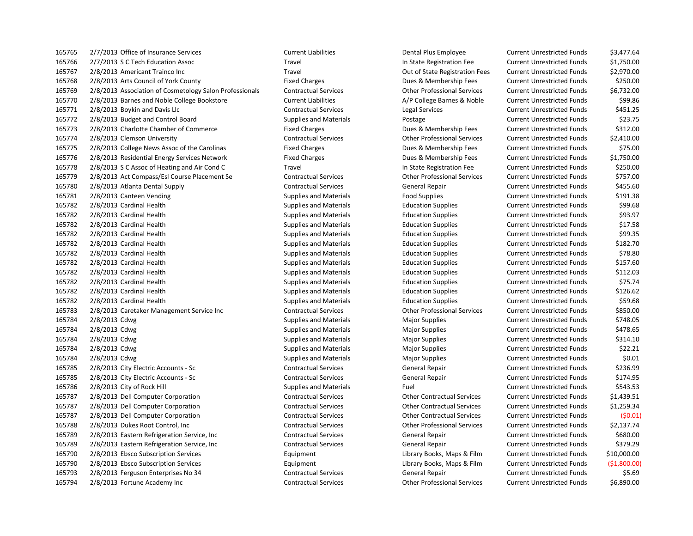2/7/2013 Office of Insurance Services Current Liabilities Dental Plus Employee Current Unrestricted Funds \$3,477.64 2/7/2013 S C Tech Education Assoc Travel In State Registration Fee Current Unrestricted Funds \$1,750.00 2/8/2013 Americant Trainco Inc Travel Out of State Registration Fees Current Unrestricted Funds \$2,970.00 2/8/2013 Arts Council of York County Fixed Charges Dues & Membership Fees Current Unrestricted Funds \$250.00 2/8/2013 Association of Cosmetology Salon Professionals Contractual Services Other Professional Services Current Unrestricted Funds \$6,732.00 165770 2/8/2013 Barnes and Noble College Bookstore Current Liabilities Current Liabilities A/P College Barnes & Noble Current Unrestricted Funds \$99.86 2/8/2013 Boykin and Davis Llc Contractual Services Legal Services Current Unrestricted Funds \$451.25 2/8/2013 Budget and Control Board Supplies and Materials Postage Current Unrestricted Funds \$23.75 2/8/2013 Charlotte Chamber of Commerce Fixed Charges Dues & Membership Fees Current Unrestricted Funds \$312.00 2/8/2013 Clemson University Contractual Services Other Professional Services Current Unrestricted Funds \$2,410.00 2/8/2013 College News Assoc of the Carolinas Fixed Charges Dues & Membership Fees Current Unrestricted Funds \$75.00 2/8/2013 Residential Energy Services Network Fixed Charges Dues & Membership Fees Current Unrestricted Funds \$1,750.00 2/8/2013 S C Assoc of Heating and Air Cond C Travel In State Registration Fee Current Unrestricted Funds \$250.00 2/8/2013 Act Compass/Esl Course Placement Se Contractual Services Other Professional Services Current Unrestricted Funds \$757.00 165780 2/8/2013 Atlanta Dental Supply Contractual Services General Repair Current Unrestricted Funds \$455.60 2/8/2013 Canteen Vending Supplies and Materials Food Supplies Current Unrestricted Funds \$191.38 2/8/2013 Cardinal Health Supplies and Materials Education Supplies Current Unrestricted Funds \$99.68 2/8/2013 Cardinal Health Supplies and Materials Education Supplies Current Unrestricted Funds \$93.97 2/8/2013 Cardinal Health Supplies and Materials Education Supplies Current Unrestricted Funds \$17.58 2/8/2013 Cardinal Health Supplies and Materials Education Supplies Current Unrestricted Funds \$99.35 2/8/2013 Cardinal Health Supplies and Materials Education Supplies Current Unrestricted Funds \$182.70 2/8/2013 Cardinal Health Supplies and Materials Education Supplies Current Unrestricted Funds \$78.80 2/8/2013 Cardinal Health Supplies and Materials Education Supplies Current Unrestricted Funds \$157.60 2/8/2013 Cardinal Health Supplies and Materials Education Supplies Current Unrestricted Funds \$112.03 2/8/2013 Cardinal Health Supplies and Materials Education Supplies Current Unrestricted Funds \$75.74 2/8/2013 Cardinal Health Supplies and Materials Education Supplies Current Unrestricted Funds \$126.62 2/8/2013 Cardinal Health Supplies and Materials Education Supplies Current Unrestricted Funds \$59.68 2/8/2013 Caretaker Management Service Inc Contractual Services Other Professional Services Current Unrestricted Funds \$850.00 165784 2/8/2013 Cdwg Supplies and Materials Major Supplies Magnet Magnet Current Unrestricted Funds 5748.05 165784 2/8/2013 Cdwg Supplies and Materials Major Supplies Maging Supplies Current Unrestricted Funds \$478.65 165784 2/8/2013 Cdwg Supplies and Materials Major Supplies Major Supplies Current Unrestricted Funds 5314.10 165784 2/8/2013 Cdwg Supplies and Materials Major Supplies Magior Supplies Current Unrestricted Funds \$22.21 2/8/2013 Cdwg Supplies and Materials Major Supplies Current Unrestricted Funds \$0.01 2/8/2013 City Electric Accounts - Sc Contractual Services General Repair Current Unrestricted Funds \$236.99 2/8/2013 City Electric Accounts - Sc Contractual Services General Repair Current Unrestricted Funds \$174.95 165786 2/8/2013 City of Rock Hill Supplies and Materials Fuel Fuel Fuel Current Unrestricted Funds 5543.53 2/8/2013 Dell Computer Corporation Contractual Services Other Contractual Services Current Unrestricted Funds \$1,439.51 2/8/2013 Dell Computer Corporation Contractual Services Other Contractual Services Current Unrestricted Funds \$1,259.34 2/8/2013 Dell Computer Corporation Contractual Services Other Contractual Services Current Unrestricted Funds (\$0.01) 2/8/2013 Dukes Root Control, Inc Contractual Services Other Professional Services Current Unrestricted Funds \$2,137.74 2/8/2013 Eastern Refrigeration Service, Inc Contractual Services General Repair Current Unrestricted Funds \$680.00 2/8/2013 Eastern Refrigeration Service, Inc Contractual Services General Repair Current Unrestricted Funds \$379.29 2/8/2013 Ebsco Subscription Services Equipment Library Books, Maps & Film Current Unrestricted Funds \$10,000.00 2/8/2013 Ebsco Subscription Services Equipment Library Books, Maps & Film Current Unrestricted Funds (\$1,800.00) 2/8/2013 Ferguson Enterprises No 34 Contractual Services General Repair Current Unrestricted Funds \$5.69 2/8/2013 Fortune Academy Inc Contractual Services Other Professional Services Current Unrestricted Funds \$6,890.00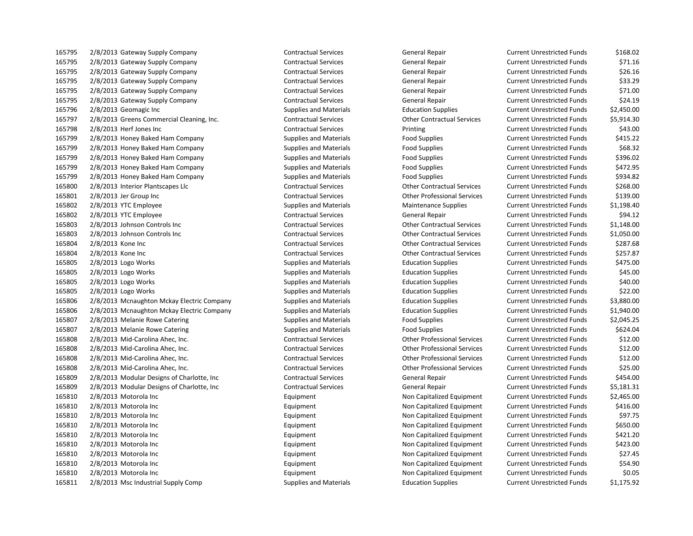2/8/2013 Gateway Supply Company Contractual Services General Repair Current Unrestricted Funds \$168.02 2/8/2013 Gateway Supply Company Contractual Services General Repair Current Unrestricted Funds \$71.16 2/8/2013 Gateway Supply Company Contractual Services General Repair Current Unrestricted Funds \$26.16 2/8/2013 Gateway Supply Company Contractual Services General Repair Current Unrestricted Funds \$33.29 2/8/2013 Gateway Supply Company Contractual Services General Repair Current Unrestricted Funds \$71.00 2/8/2013 Gateway Supply Company Contractual Services General Repair Current Unrestricted Funds \$24.19 2/8/2013 Geomagic Inc Supplies and Materials Education Supplies Current Unrestricted Funds \$2,450.00 2/8/2013 Greens Commercial Cleaning, Inc. Contractual Services Other Contractual Services Current Unrestricted Funds \$5,914.30 2/8/2013 Herf Jones Inc Contractual Services Printing Current Unrestricted Funds \$43.00 2/8/2013 Honey Baked Ham Company Supplies and Materials Food Supplies Current Unrestricted Funds \$415.22 2/8/2013 Honey Baked Ham Company Supplies and Materials Food Supplies Current Unrestricted Funds \$68.32 2/8/2013 Honey Baked Ham Company Supplies and Materials Food Supplies Current Unrestricted Funds \$396.02 2/8/2013 Honey Baked Ham Company Supplies and Materials Food Supplies Current Unrestricted Funds \$472.95 2/8/2013 Honey Baked Ham Company Supplies and Materials Food Supplies Current Unrestricted Funds \$934.82 2/8/2013 Interior Plantscapes Llc Contractual Services Other Contractual Services Current Unrestricted Funds \$268.00 2/8/2013 Jer Group Inc Contractual Services Other Professional Services Current Unrestricted Funds \$139.00 2/8/2013 YTC Employee Supplies and Materials Maintenance Supplies Current Unrestricted Funds \$1,198.40 2/8/2013 YTC Employee Contractual Services General Repair Current Unrestricted Funds \$94.12 2/8/2013 Johnson Controls Inc Contractual Services Other Contractual Services Current Unrestricted Funds \$1,148.00 2/8/2013 Johnson Controls Inc Contractual Services Other Contractual Services Current Unrestricted Funds \$1,050.00 2/8/2013 Kone Inc Contractual Services Other Contractual Services Current Unrestricted Funds \$287.68 2/8/2013 Kone Inc Contractual Services Other Contractual Services Current Unrestricted Funds \$257.87 2/8/2013 Logo Works Supplies and Materials Education Supplies Current Unrestricted Funds \$475.00 2/8/2013 Logo Works Supplies and Materials Education Supplies Current Unrestricted Funds \$45.00 2/8/2013 Logo Works Supplies and Materials Education Supplies Current Unrestricted Funds \$40.00 2/8/2013 Logo Works Supplies and Materials Education Supplies Current Unrestricted Funds \$22.00 2/8/2013 Mcnaughton Mckay Electric Company Supplies and Materials Education Supplies Current Unrestricted Funds \$3,880.00 2/8/2013 Mcnaughton Mckay Electric Company Supplies and Materials Education Supplies Current Unrestricted Funds \$1,940.00 2/8/2013 Melanie Rowe Catering Supplies and Materials Food Supplies Current Unrestricted Funds \$2,045.25 2/8/2013 Melanie Rowe Catering Supplies and Materials Food Supplies Current Unrestricted Funds \$624.04 2/8/2013 Mid-Carolina Ahec, Inc. Contractual Services Other Professional Services Current Unrestricted Funds \$12.00 2/8/2013 Mid-Carolina Ahec, Inc. Contractual Services Other Professional Services Current Unrestricted Funds \$12.00 2/8/2013 Mid-Carolina Ahec, Inc. Contractual Services Other Professional Services Current Unrestricted Funds \$12.00 2/8/2013 Mid-Carolina Ahec, Inc. Contractual Services Other Professional Services Current Unrestricted Funds \$25.00 2/8/2013 Modular Designs of Charlotte, Inc Contractual Services General Repair Current Unrestricted Funds \$454.00 2/8/2013 Modular Designs of Charlotte, Inc Contractual Services General Repair Current Unrestricted Funds \$5,181.31 2/8/2013 Motorola Inc Equipment Non Capitalized Equipment Current Unrestricted Funds \$2,465.00 2/8/2013 Motorola Inc Equipment Non Capitalized Equipment Current Unrestricted Funds \$416.00 2/8/2013 Motorola Inc Equipment Non Capitalized Equipment Current Unrestricted Funds \$97.75 2/8/2013 Motorola Inc Equipment Non Capitalized Equipment Current Unrestricted Funds \$650.00 2/8/2013 Motorola Inc Equipment Non Capitalized Equipment Current Unrestricted Funds \$421.20 165810 2/8/2013 Motorola Inc Current Localized Equipment Non Capitalized Equipment Current Unrestricted Funds \$423.00 2/8/2013 Motorola Inc Equipment Non Capitalized Equipment Current Unrestricted Funds \$27.45 2/8/2013 Motorola Inc Equipment Non Capitalized Equipment Current Unrestricted Funds \$54.90 2/8/2013 Motorola Inc Equipment Non Capitalized Equipment Current Unrestricted Funds \$0.05

2/8/2013 Msc Industrial Supply Comp Supplies and Materials Education Supplies Current Unrestricted Funds \$1,175.92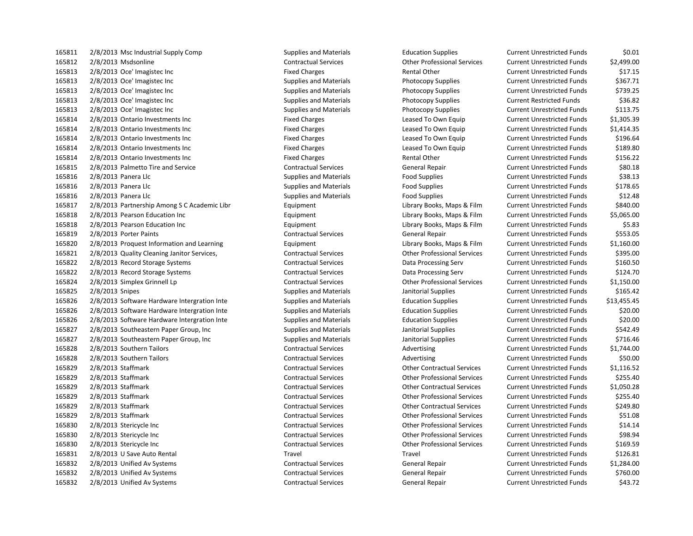2/8/2013 Msc Industrial Supply Comp Supplies and Materials Education Supplies Current Unrestricted Funds \$0.01 2/8/2013 Msdsonline Contractual Services Other Professional Services Current Unrestricted Funds \$2,499.00 165813 2/8/2013 Oce' Imagistec Inc Current Unrestricted Funds \$17.15 2/8/2013 Oce' Imagistec Inc Supplies and Materials Photocopy Supplies Current Unrestricted Funds \$367.71 2/8/2013 Oce' Imagistec Inc Supplies and Materials Photocopy Supplies Current Unrestricted Funds \$739.25 2/8/2013 Oce' Imagistec Inc Supplies and Materials Photocopy Supplies Current Restricted Funds \$36.82 2/8/2013 Oce' Imagistec Inc Supplies and Materials Photocopy Supplies Current Unrestricted Funds \$113.75 2/8/2013 Ontario Investments Inc Fixed Charges Leased To Own Equip Current Unrestricted Funds \$1,305.39 2/8/2013 Ontario Investments Inc Fixed Charges Leased To Own Equip Current Unrestricted Funds \$1,414.35 2/8/2013 Ontario Investments Inc Fixed Charges Leased To Own Equip Current Unrestricted Funds \$196.64 2/8/2013 Ontario Investments Inc Fixed Charges Leased To Own Equip Current Unrestricted Funds \$189.80 2/8/2013 Ontario Investments Inc Fixed Charges Rental Other Current Unrestricted Funds \$156.22 2/8/2013 Palmetto Tire and Service Contractual Services General Repair Current Unrestricted Funds \$80.18 2/8/2013 Panera Llc Supplies and Materials Food Supplies Current Unrestricted Funds \$38.13 2/8/2013 Panera Llc Supplies and Materials Food Supplies Current Unrestricted Funds \$178.65 2/8/2013 Panera Llc Supplies and Materials Food Supplies Current Unrestricted Funds \$12.48 2/8/2013 Partnership Among S C Academic Libr Equipment Library Books, Maps & Film Current Unrestricted Funds \$840.00 2/8/2013 Pearson Education Inc Equipment Library Books, Maps & Film Current Unrestricted Funds \$5,065.00 2/8/2013 Pearson Education Inc Equipment Library Books, Maps & Film Current Unrestricted Funds \$5.83 2/8/2013 Porter Paints Contractual Services General Repair Current Unrestricted Funds \$553.05 2/8/2013 Proquest Information and Learning Equipment Library Books, Maps & Film Current Unrestricted Funds \$1,160.00 2/8/2013 Quality Cleaning Janitor Services, Contractual Services Other Professional Services Current Unrestricted Funds \$395.00 2/8/2013 Record Storage Systems Contractual Services Data Processing Serv Current Unrestricted Funds \$160.50 2/8/2013 Record Storage Systems Contractual Services Data Processing Serv Current Unrestricted Funds \$124.70 2/8/2013 Simplex Grinnell Lp Contractual Services Other Professional Services Current Unrestricted Funds \$1,150.00 165825 2/8/2013 Snipes Supplies and Materials Janitorial Supplies Current Unrestricted Funds \$165.42 2/8/2013 Software Hardware Intergration Inte Supplies and Materials Education Supplies Current Unrestricted Funds \$13,455.45 2/8/2013 Software Hardware Intergration Inte Supplies and Materials Education Supplies Current Unrestricted Funds \$20.00 2/8/2013 Software Hardware Intergration Inte Supplies and Materials Education Supplies Current Unrestricted Funds \$20.00 2/8/2013 Southeastern Paper Group, Inc Supplies and Materials Janitorial Supplies Current Unrestricted Funds \$542.49 165827 2/8/2013 Southeastern Paper Group, Inc Supplies and Materials Janitorial Supplies Current Unrestricted Funds \$716.46 165828 2/8/2013 Southern Tailors Contractual Services Advertising Current Unrestricted Funds \$1,744.00 165828 2/8/2013 Southern Tailors Contractual Services Contractual Services Advertising Current Unrestricted Funds \$50.00 2/8/2013 Staffmark Contractual Services Other Contractual Services Current Unrestricted Funds \$1,116.52 2/8/2013 Staffmark Contractual Services Other Professional Services Current Unrestricted Funds \$255.40 2/8/2013 Staffmark Contractual Services Other Contractual Services Current Unrestricted Funds \$1,050.28 2/8/2013 Staffmark Contractual Services Other Professional Services Current Unrestricted Funds \$255.40 2/8/2013 Staffmark Contractual Services Other Contractual Services Current Unrestricted Funds \$249.80 2/8/2013 Staffmark Contractual Services Other Professional Services Current Unrestricted Funds \$51.08 2/8/2013 Stericycle Inc Contractual Services Other Professional Services Current Unrestricted Funds \$14.14 2/8/2013 Stericycle Inc Contractual Services Other Professional Services Current Unrestricted Funds \$98.94 2/8/2013 Stericycle Inc Contractual Services Other Professional Services Current Unrestricted Funds \$169.59 2/8/2013 U Save Auto Rental Travel Travel Current Unrestricted Funds \$126.81 2/8/2013 Unified Av Systems Contractual Services General Repair Current Unrestricted Funds \$1,284.00 2/8/2013 Unified Av Systems Contractual Services General Repair Current Unrestricted Funds \$760.00 2/8/2013 Unified Av Systems Contractual Services General Repair Current Unrestricted Funds \$43.72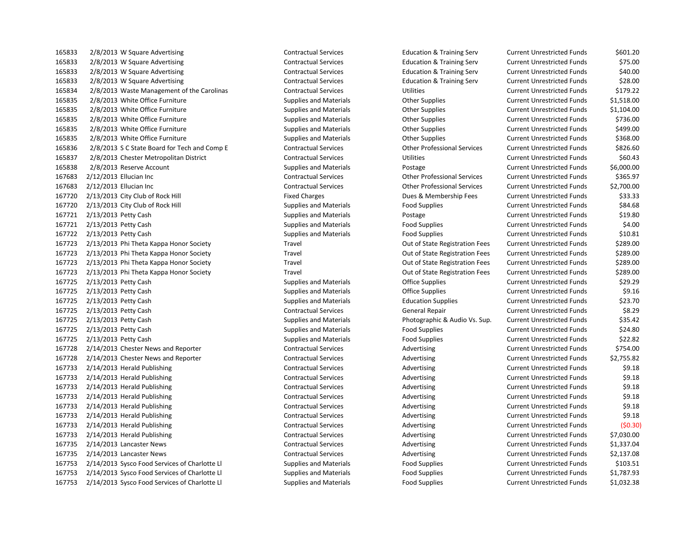2/8/2013 W Square Advertising Contractual Services Education & Training Serv Current Unrestricted Funds \$601.20 2/8/2013 W Square Advertising Contractual Services Education & Training Serv Current Unrestricted Funds \$75.00 2/8/2013 W Square Advertising Contractual Services Education & Training Serv Current Unrestricted Funds \$40.00 2/8/2013 W Square Advertising Contractual Services Education & Training Serv Current Unrestricted Funds \$28.00 2/8/2013 Waste Management of the Carolinas Contractual Services Utilities Current Unrestricted Funds \$179.22 2/8/2013 White Office Furniture Supplies and Materials Other Supplies Current Unrestricted Funds \$1,518.00 2/8/2013 White Office Furniture Supplies and Materials Other Supplies Current Unrestricted Funds \$1,104.00 2/8/2013 White Office Furniture Supplies and Materials Other Supplies Current Unrestricted Funds \$736.00 2/8/2013 White Office Furniture Supplies and Materials Other Supplies Current Unrestricted Funds \$499.00 2/8/2013 White Office Furniture Supplies and Materials Other Supplies Current Unrestricted Funds \$368.00 2/8/2013 S C State Board for Tech and Comp E Contractual Services Other Professional Services Current Unrestricted Funds \$826.60 2/8/2013 Chester Metropolitan District Contractual Services Utilities Current Unrestricted Funds \$60.43 2/8/2013 Reserve Account Supplies and Materials Postage Current Unrestricted Funds \$6,000.00 2/12/2013 Ellucian Inc Contractual Services Other Professional Services Current Unrestricted Funds \$365.97 2/12/2013 Ellucian Inc Contractual Services Other Professional Services Current Unrestricted Funds \$2,700.00 167720 2/13/2013 City Club of Rock Hill Fixed Charges Fixed Charges Dues & Membership Fees Current Unrestricted Funds \$33.33 2/13/2013 City Club of Rock Hill Supplies and Materials Food Supplies Current Unrestricted Funds \$84.68 2/13/2013 Petty Cash Supplies and Materials Postage Current Unrestricted Funds \$19.80 2/13/2013 Petty Cash Supplies and Materials Food Supplies Current Unrestricted Funds \$4.00 2/13/2013 Petty Cash Supplies and Materials Food Supplies Current Unrestricted Funds \$10.81 2/13/2013 Phi Theta Kappa Honor Society Travel Out of State Registration Fees Current Unrestricted Funds \$289.00 2/13/2013 Phi Theta Kappa Honor Society Travel Out of State Registration Fees Current Unrestricted Funds \$289.00 2/13/2013 Phi Theta Kappa Honor Society Travel Out of State Registration Fees Current Unrestricted Funds \$289.00 2/13/2013 Phi Theta Kappa Honor Society Travel Out of State Registration Fees Current Unrestricted Funds \$289.00 2/13/2013 Petty Cash Supplies and Materials Office Supplies Current Unrestricted Funds \$29.29 167725 2/13/2013 Petty Cash Supplies and Materials Current Unrestricted Funds \$9.16 2/13/2013 Petty Cash Supplies and Materials Education Supplies Current Unrestricted Funds \$23.70 2/13/2013 Petty Cash Contractual Services General Repair Current Unrestricted Funds \$8.29 2/13/2013 Petty Cash Supplies and Materials Photographic & Audio Vs. Sup. Current Unrestricted Funds \$35.42 2/13/2013 Petty Cash Supplies and Materials Food Supplies Current Unrestricted Funds \$24.80 2/13/2013 Petty Cash Supplies and Materials Food Supplies Current Unrestricted Funds \$22.82 167728 2/14/2013 Chester News and Reporter Contractual Services Advertising Current Unrestricted Funds \$754.00 167728 2/14/2013 Chester News and Reporter Contractual Services Advertising Current Unrestricted Funds \$2,755.82 167733 2/14/2013 Herald Publishing external contractual Services and Advertising Current Unrestricted Funds \$9.18 167733 2/14/2013 Herald Publishing external contractual Services and Advertising Current Unrestricted Funds \$9.18 167733 2/14/2013 Herald Publishing external contractual Services and Advertising Current Unrestricted Funds \$9.18 167733 2/14/2013 Herald Publishing external contractual Services and Advertising Current Unrestricted Funds \$9.18 167733 2/14/2013 Herald Publishing external contractual Services and Advertising Current Unrestricted Funds \$9.18 167733 2/14/2013 Herald Publishing Contractual Services Advertising Advertising Current Unrestricted Funds \$9.18 2/14/2013 Herald Publishing Contractual Services Advertising Current Unrestricted Funds (\$0.30) 167733 2/14/2013 Herald Publishing external contractual Services and Advertising Current Unrestricted Funds \$7,030.00 167735 2/14/2013 Lancaster News Contractual Services Advertising Current Unrestricted Funds \$1,337.04 167735 2/14/2013 Lancaster News Contractual Services Advertising Current Unrestricted Funds \$2,137.08 2/14/2013 Sysco Food Services of Charlotte Ll Supplies and Materials Food Supplies Current Unrestricted Funds \$103.51 2/14/2013 Sysco Food Services of Charlotte Ll Supplies and Materials Food Supplies Current Unrestricted Funds \$1,787.93

2/14/2013 Sysco Food Services of Charlotte Ll Supplies and Materials Food Supplies Current Unrestricted Funds \$1,032.38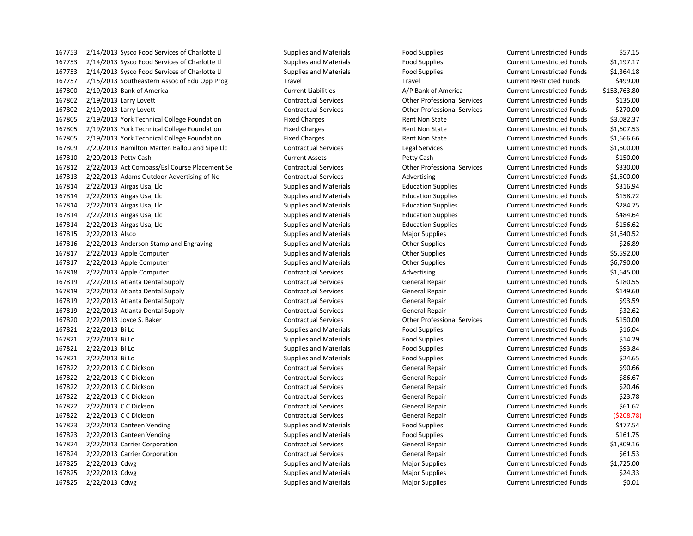2/14/2013 Sysco Food Services of Charlotte Ll Supplies and Materials Food Supplies Current Unrestricted Funds \$57.15 2/14/2013 Sysco Food Services of Charlotte Ll Supplies and Materials Food Supplies Current Unrestricted Funds \$1,197.17 2/14/2013 Sysco Food Services of Charlotte Ll Supplies and Materials Food Supplies Current Unrestricted Funds \$1,364.18 2/15/2013 Southeastern Assoc of Edu Opp Prog Travel Travel Current Restricted Funds \$499.00 2/19/2013 Bank of America Current Liabilities A/P Bank of America Current Unrestricted Funds \$153,763.80 2/19/2013 Larry Lovett Contractual Services Other Professional Services Current Unrestricted Funds \$135.00 2/19/2013 Larry Lovett Contractual Services Other Professional Services Current Unrestricted Funds \$270.00 2/19/2013 York Technical College Foundation Fixed Charges Rent Non State Current Unrestricted Funds \$3,082.37 2/19/2013 York Technical College Foundation Fixed Charges Rent Non State Current Unrestricted Funds \$1,607.53 167805 2/19/2013 York Technical College Foundation Fixed Charges Rent Non State Current Unrestricted Funds \$1,666.66 2/20/2013 Hamilton Marten Ballou and Sipe Llc Contractual Services Legal Services Current Unrestricted Funds \$1,600.00 2/20/2013 Petty Cash Current Assets Petty Cash Current Unrestricted Funds \$150.00 2/22/2013 Act Compass/Esl Course Placement Se Contractual Services Other Professional Services Current Unrestricted Funds \$330.00 2/22/2013 Adams Outdoor Advertising of Nc Contractual Services Advertising Current Unrestricted Funds \$1,500.00 167814 2/22/2013 Airgas Usa, Llc Supplies and Materials Current Unrestricted Funds 5316.94 2/22/2013 Airgas Usa, Llc Supplies and Materials Education Supplies Current Unrestricted Funds \$158.72 2/22/2013 Airgas Usa, Llc Supplies and Materials Education Supplies Current Unrestricted Funds \$284.75 2/22/2013 Airgas Usa, Llc Supplies and Materials Education Supplies Current Unrestricted Funds \$484.64 2/22/2013 Airgas Usa, Llc Supplies and Materials Education Supplies Current Unrestricted Funds \$156.62 2/22/2013 Alsco Supplies and Materials Major Supplies Current Unrestricted Funds \$1,640.52 167816 2/22/2013 Anderson Stamp and Engraving Supplies and Materials Curre Supplies Current Unrestricted Funds \$26.89 2/22/2013 Apple Computer Supplies and Materials Other Supplies Current Unrestricted Funds \$5,592.00 2/22/2013 Apple Computer Supplies and Materials Other Supplies Current Unrestricted Funds \$6,790.00 167818 2/22/2013 Apple Computer Contractual Services Advertising Current Unrestricted Funds \$1,645.00 2/22/2013 Atlanta Dental Supply Contractual Services General Repair Current Unrestricted Funds \$180.55 2/22/2013 Atlanta Dental Supply Contractual Services General Repair Current Unrestricted Funds \$149.60 2/22/2013 Atlanta Dental Supply Contractual Services General Repair Current Unrestricted Funds \$93.59 2/22/2013 Atlanta Dental Supply Contractual Services General Repair Current Unrestricted Funds \$32.62 2/22/2013 Joyce S. Baker Contractual Services Other Professional Services Current Unrestricted Funds \$150.00 2/22/2013 Bi Lo Supplies and Materials Food Supplies Current Unrestricted Funds \$16.04 2/22/2013 Bi Lo Supplies and Materials Food Supplies Current Unrestricted Funds \$14.29 2/22/2013 Bi Lo Supplies and Materials Food Supplies Current Unrestricted Funds \$93.84 2/22/2013 Bi Lo Supplies and Materials Food Supplies Current Unrestricted Funds \$24.65 167822 2/22/2013 C C Dickson Contractual Services Contractual Services Current Unrestricted Funds \$90.66 167822 2/22/2013 C C Dickson Contractual Services Contractual Services Current Unrestricted Funds \$86.67 2/22/2013 C C Dickson Contractual Services General Repair Current Unrestricted Funds \$20.46 2/22/2013 C C Dickson Contractual Services General Repair Current Unrestricted Funds \$23.78 167822 2/22/2013 C C Dickson Contractual Services Contractual Services Current Unrestricted Funds 561.62 2/22/2013 C C Dickson Contractual Services General Repair Current Unrestricted Funds (\$208.78) 167823 2/22/2013 Canteen Vending Supplies and Materials Supplies Food Supplies Current Unrestricted Funds \$477.54 2/22/2013 Canteen Vending Supplies and Materials Food Supplies Current Unrestricted Funds \$161.75 2/22/2013 Carrier Corporation Contractual Services General Repair Current Unrestricted Funds \$1,809.16 167824 2/22/2013 Carrier Corporation Contractual Services General Repair Current Unrestricted Funds \$61.53 2/22/2013 Cdwg Supplies and Materials Major Supplies Current Unrestricted Funds \$1,725.00 167825 2/22/2013 Cdwg Supplies and Materials Major Supplies Magnet Magnet Current Unrestricted Funds \$24.33 167825 2/22/2013 Cdwg Supplies and Materials Major Supplies Magior Supplies Current Unrestricted Funds \$0.01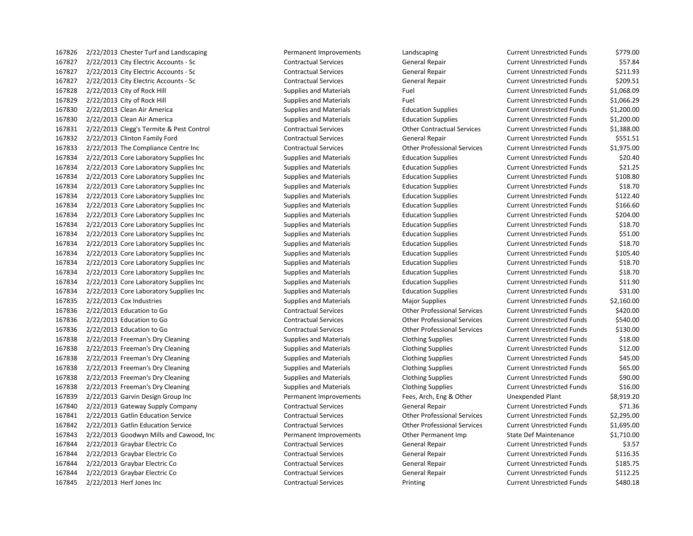2/22/2013 Chester Turf and Landscaping Permanent Improvements Landscaping Current Unrestricted Funds \$779.00 2/22/2013 City Electric Accounts - Sc Contractual Services General Repair Current Unrestricted Funds \$57.84 2/22/2013 City Electric Accounts - Sc Contractual Services General Repair Current Unrestricted Funds \$211.93 2/22/2013 City Electric Accounts - Sc Contractual Services General Repair Current Unrestricted Funds \$209.51 2/22/2013 City of Rock Hill Supplies and Materials Fuel Current Unrestricted Funds \$1,068.09 2/22/2013 City of Rock Hill Supplies and Materials Fuel Current Unrestricted Funds \$1,066.29 2/22/2013 Clean Air America Supplies and Materials Education Supplies Current Unrestricted Funds \$1,200.00 2/22/2013 Clean Air America Supplies and Materials Education Supplies Current Unrestricted Funds \$1,200.00 2/22/2013 Clegg's Termite & Pest Control Contractual Services Other Contractual Services Current Unrestricted Funds \$1,388.00 2/22/2013 Clinton Family Ford Contractual Services General Repair Current Unrestricted Funds \$551.51 2/22/2013 The Compliance Centre Inc Contractual Services Other Professional Services Current Unrestricted Funds \$1,975.00 2/22/2013 Core Laboratory Supplies Inc Supplies and Materials Education Supplies Current Unrestricted Funds \$20.40 2/22/2013 Core Laboratory Supplies Inc Supplies and Materials Education Supplies Current Unrestricted Funds \$21.25 2/22/2013 Core Laboratory Supplies Inc Supplies and Materials Education Supplies Current Unrestricted Funds \$108.80 2/22/2013 Core Laboratory Supplies Inc Supplies and Materials Education Supplies Current Unrestricted Funds \$18.70 2/22/2013 Core Laboratory Supplies Inc Supplies and Materials Education Supplies Current Unrestricted Funds \$122.40 2/22/2013 Core Laboratory Supplies Inc Supplies and Materials Education Supplies Current Unrestricted Funds \$166.60 2/22/2013 Core Laboratory Supplies Inc Supplies and Materials Education Supplies Current Unrestricted Funds \$204.00 2/22/2013 Core Laboratory Supplies Inc Supplies and Materials Education Supplies Current Unrestricted Funds \$18.70 2/22/2013 Core Laboratory Supplies Inc Supplies and Materials Education Supplies Current Unrestricted Funds \$51.00 2/22/2013 Core Laboratory Supplies Inc Supplies and Materials Education Supplies Current Unrestricted Funds \$18.70 2/22/2013 Core Laboratory Supplies Inc Supplies and Materials Education Supplies Current Unrestricted Funds \$105.40 2/22/2013 Core Laboratory Supplies Inc Supplies and Materials Education Supplies Current Unrestricted Funds \$18.70 2/22/2013 Core Laboratory Supplies Inc Supplies and Materials Education Supplies Current Unrestricted Funds \$18.70 2/22/2013 Core Laboratory Supplies Inc Supplies and Materials Education Supplies Current Unrestricted Funds \$11.90 2/22/2013 Core Laboratory Supplies Inc Supplies and Materials Education Supplies Current Unrestricted Funds \$31.00 2/22/2013 Cox Industries Supplies and Materials Major Supplies Current Unrestricted Funds \$2,160.00 2/22/2013 Education to Go Contractual Services Other Professional Services Current Unrestricted Funds \$420.00 2/22/2013 Education to Go Contractual Services Other Professional Services Current Unrestricted Funds \$540.00 2/22/2013 Education to Go Contractual Services Other Professional Services Current Unrestricted Funds \$130.00 167838 2/22/2013 Freeman's Dry Cleaning Supplies and Materials Clothing Supplies Current Unrestricted Funds \$18.00 167838 2/22/2013 Freeman's Dry Cleaning Supplies and Materials Clothing Supplies Current Unrestricted Funds \$12.00 167838 2/22/2013 Freeman's Dry Cleaning Supplies and Materials Clothing Supplies Current Unrestricted Funds \$45.00 167838 2/22/2013 Freeman's Dry Cleaning Supplies and Materials Clothing Supplies Current Unrestricted Funds \$65.00 167838 2/22/2013 Freeman's Dry Cleaning Supplies and Materials Clothing Supplies Current Unrestricted Funds \$90.00 2/22/2013 Freeman's Dry Cleaning Supplies and Materials Clothing Supplies Current Unrestricted Funds \$16.00 2/22/2013 Garvin Design Group Inc Permanent Improvements Fees, Arch, Eng & Other Unexpended Plant \$8,919.20 2/22/2013 Gateway Supply Company Contractual Services General Repair Current Unrestricted Funds \$71.36 2/22/2013 Gatlin Education Service Contractual Services Other Professional Services Current Unrestricted Funds \$2,295.00 2/22/2013 Gatlin Education Service Contractual Services Other Professional Services Current Unrestricted Funds \$1,695.00 2/22/2013 Goodwyn Mills and Cawood, Inc Permanent Improvements Other Permanent Imp State Def Maintenance \$1,710.00 167844 2/22/2013 Graybar Electric Co Contractual Services General Repair Current Unrestricted Funds \$3.57 167844 2/22/2013 Graybar Electric Co Contractual Services General Repair Current Unrestricted Funds \$116.35 2/22/2013 Graybar Electric Co Contractual Services General Repair Current Unrestricted Funds \$185.75 2/22/2013 Graybar Electric Co Contractual Services General Repair Current Unrestricted Funds \$112.25 2/22/2013 Herf Jones Inc Contractual Services Printing Current Unrestricted Funds \$480.18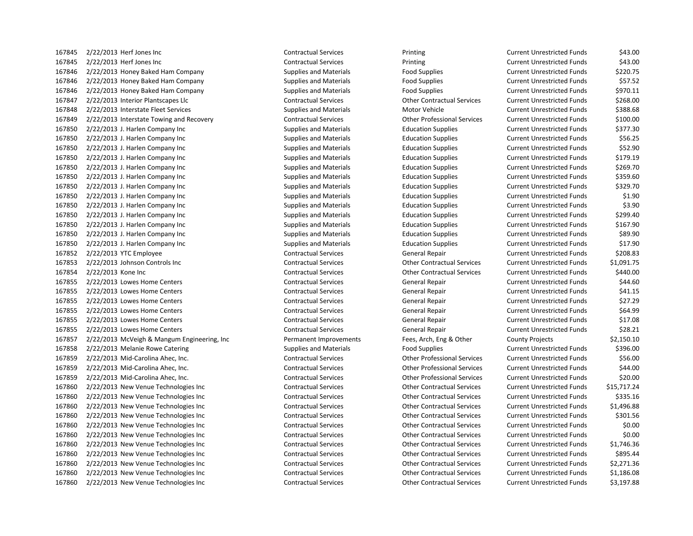2/22/2013 Herf Jones Inc Contractual Services Printing Current Unrestricted Funds \$43.00 2/22/2013 Herf Jones Inc Contractual Services Printing Current Unrestricted Funds \$43.00 2/22/2013 Honey Baked Ham Company Supplies and Materials Food Supplies Current Unrestricted Funds \$220.75 2/22/2013 Honey Baked Ham Company Supplies and Materials Food Supplies Current Unrestricted Funds \$57.52 2/22/2013 Honey Baked Ham Company Supplies and Materials Food Supplies Current Unrestricted Funds \$970.11 2/22/2013 Interior Plantscapes Llc Contractual Services Other Contractual Services Current Unrestricted Funds \$268.00 167848 2/22/2013 Interstate Fleet Services Supplies and Materials Motor Vehicle Current Unrestricted Funds \$388.68 2/22/2013 Interstate Towing and Recovery Contractual Services Other Professional Services Current Unrestricted Funds \$100.00 2/22/2013 J. Harlen Company Inc Supplies and Materials Education Supplies Current Unrestricted Funds \$377.30 2/22/2013 J. Harlen Company Inc Supplies and Materials Education Supplies Current Unrestricted Funds \$56.25 2/22/2013 J. Harlen Company Inc Supplies and Materials Education Supplies Current Unrestricted Funds \$52.90 2/22/2013 J. Harlen Company Inc Supplies and Materials Education Supplies Current Unrestricted Funds \$179.19 2/22/2013 J. Harlen Company Inc Supplies and Materials Education Supplies Current Unrestricted Funds \$269.70 2/22/2013 J. Harlen Company Inc Supplies and Materials Education Supplies Current Unrestricted Funds \$359.60 2/22/2013 J. Harlen Company Inc Supplies and Materials Education Supplies Current Unrestricted Funds \$329.70 2/22/2013 J. Harlen Company Inc Supplies and Materials Education Supplies Current Unrestricted Funds \$1.90 2/22/2013 J. Harlen Company Inc Supplies and Materials Education Supplies Current Unrestricted Funds \$3.90 2/22/2013 J. Harlen Company Inc Supplies and Materials Education Supplies Current Unrestricted Funds \$299.40 2/22/2013 J. Harlen Company Inc Supplies and Materials Education Supplies Current Unrestricted Funds \$167.90 2/22/2013 J. Harlen Company Inc Supplies and Materials Education Supplies Current Unrestricted Funds \$89.90 2/22/2013 J. Harlen Company Inc Supplies and Materials Education Supplies Current Unrestricted Funds \$17.90 2/22/2013 YTC Employee Contractual Services General Repair Current Unrestricted Funds \$208.83 2/22/2013 Johnson Controls Inc Contractual Services Other Contractual Services Current Unrestricted Funds \$1,091.75 2/22/2013 Kone Inc Contractual Services Other Contractual Services Current Unrestricted Funds \$440.00 2/22/2013 Lowes Home Centers Contractual Services General Repair Current Unrestricted Funds \$44.60 2/22/2013 Lowes Home Centers Contractual Services General Repair Current Unrestricted Funds \$41.15 2/22/2013 Lowes Home Centers Contractual Services General Repair Current Unrestricted Funds \$27.29 167855 2/22/2013 Lowes Home Centers Contractual Services Contractual Services Current Unrestricted Funds \$64.99 2/22/2013 Lowes Home Centers Contractual Services General Repair Current Unrestricted Funds \$17.08 167855 2/22/2013 Lowes Home Centers Contractual Services Contractual Services Current Unrestricted Funds \$28.21 2/22/2013 McVeigh & Mangum Engineering, Inc Permanent Improvements Fees, Arch, Eng & Other County Projects \$2,150.10 2/22/2013 Melanie Rowe Catering Supplies and Materials Food Supplies Current Unrestricted Funds \$396.00 2/22/2013 Mid-Carolina Ahec, Inc. Contractual Services Other Professional Services Current Unrestricted Funds \$56.00 2/22/2013 Mid-Carolina Ahec, Inc. Contractual Services Other Professional Services Current Unrestricted Funds \$44.00 2/22/2013 Mid-Carolina Ahec, Inc. Contractual Services Other Professional Services Current Unrestricted Funds \$20.00 2/22/2013 New Venue Technologies Inc Contractual Services Other Contractual Services Current Unrestricted Funds \$15,717.24 2/22/2013 New Venue Technologies Inc Contractual Services Other Contractual Services Current Unrestricted Funds \$335.16 2/22/2013 New Venue Technologies Inc Contractual Services Other Contractual Services Current Unrestricted Funds \$1,496.88 2/22/2013 New Venue Technologies Inc Contractual Services Other Contractual Services Current Unrestricted Funds \$301.56 2/22/2013 New Venue Technologies Inc Contractual Services Other Contractual Services Current Unrestricted Funds \$0.00 2/22/2013 New Venue Technologies Inc Contractual Services Other Contractual Services Current Unrestricted Funds \$0.00 2/22/2013 New Venue Technologies Inc Contractual Services Other Contractual Services Current Unrestricted Funds \$1,746.36 2/22/2013 New Venue Technologies Inc Contractual Services Other Contractual Services Current Unrestricted Funds \$895.44 2/22/2013 New Venue Technologies Inc Contractual Services Other Contractual Services Current Unrestricted Funds \$2,271.36 2/22/2013 New Venue Technologies Inc Contractual Services Other Contractual Services Current Unrestricted Funds \$1,186.08 2/22/2013 New Venue Technologies Inc Contractual Services Other Contractual Services Current Unrestricted Funds \$3,197.88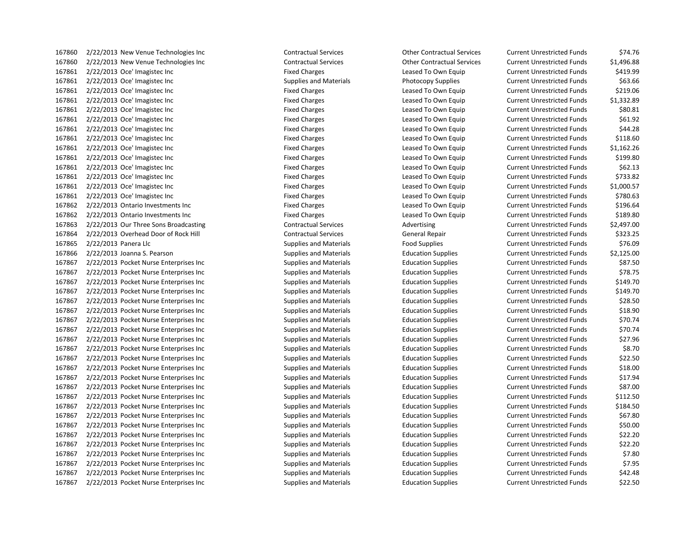2/22/2013 New Venue Technologies Inc Contractual Services Other Contractual Services Current Unrestricted Funds \$1,496.88 2/22/2013 Oce' Imagistec Inc Fixed Charges Leased To Own Equip Current Unrestricted Funds \$419.99 2/22/2013 Oce' Imagistec Inc Supplies and Materials Photocopy Supplies Current Unrestricted Funds \$63.66 2/22/2013 Oce' Imagistec Inc Fixed Charges Leased To Own Equip Current Unrestricted Funds \$219.06 2/22/2013 Oce' Imagistec Inc Fixed Charges Leased To Own Equip Current Unrestricted Funds \$1,332.89 2/22/2013 Oce' Imagistec Inc Fixed Charges Leased To Own Equip Current Unrestricted Funds \$80.81 2/22/2013 Oce' Imagistec Inc Fixed Charges Leased To Own Equip Current Unrestricted Funds \$61.92 2/22/2013 Oce' Imagistec Inc Fixed Charges Leased To Own Equip Current Unrestricted Funds \$44.28 2/22/2013 Oce' Imagistec Inc Fixed Charges Leased To Own Equip Current Unrestricted Funds \$118.60 2/22/2013 Oce' Imagistec Inc Fixed Charges Leased To Own Equip Current Unrestricted Funds \$1,162.26 2/22/2013 Oce' Imagistec Inc Fixed Charges Leased To Own Equip Current Unrestricted Funds \$199.80 2/22/2013 Oce' Imagistec Inc Fixed Charges Leased To Own Equip Current Unrestricted Funds \$62.13 2/22/2013 Oce' Imagistec Inc Fixed Charges Leased To Own Equip Current Unrestricted Funds \$733.82 2/22/2013 Oce' Imagistec Inc Fixed Charges Leased To Own Equip Current Unrestricted Funds \$1,000.57 2/22/2013 Oce' Imagistec Inc Fixed Charges Leased To Own Equip Current Unrestricted Funds \$780.63 2/22/2013 Ontario Investments Inc Fixed Charges Leased To Own Equip Current Unrestricted Funds \$196.64 2/22/2013 Ontario Investments Inc Fixed Charges Leased To Own Equip Current Unrestricted Funds \$189.80 167863 2/22/2013 Our Three Sons Broadcasting Contractual Services Advertising Current Unrestricted Funds \$2,497.00 2/22/2013 Overhead Door of Rock Hill Contractual Services General Repair Current Unrestricted Funds \$323.25 2/22/2013 Panera Llc Supplies and Materials Food Supplies Current Unrestricted Funds \$76.09 2/22/2013 Joanna S. Pearson Supplies and Materials Education Supplies Current Unrestricted Funds \$2,125.00 2/22/2013 Pocket Nurse Enterprises Inc Supplies and Materials Education Supplies Current Unrestricted Funds \$87.50 2/22/2013 Pocket Nurse Enterprises Inc Supplies and Materials Education Supplies Current Unrestricted Funds \$78.75 2/22/2013 Pocket Nurse Enterprises Inc Supplies and Materials Education Supplies Current Unrestricted Funds \$149.70 2/22/2013 Pocket Nurse Enterprises Inc Supplies and Materials Education Supplies Current Unrestricted Funds \$149.70 2/22/2013 Pocket Nurse Enterprises Inc Supplies and Materials Education Supplies Current Unrestricted Funds \$28.50 2/22/2013 Pocket Nurse Enterprises Inc Supplies and Materials Education Supplies Current Unrestricted Funds \$18.90 2/22/2013 Pocket Nurse Enterprises Inc Supplies and Materials Education Supplies Current Unrestricted Funds \$70.74 2/22/2013 Pocket Nurse Enterprises Inc Supplies and Materials Education Supplies Current Unrestricted Funds \$70.74 2/22/2013 Pocket Nurse Enterprises Inc Supplies and Materials Education Supplies Current Unrestricted Funds \$27.96 2/22/2013 Pocket Nurse Enterprises Inc Supplies and Materials Education Supplies Current Unrestricted Funds \$8.70 2/22/2013 Pocket Nurse Enterprises Inc Supplies and Materials Education Supplies Current Unrestricted Funds \$22.50 2/22/2013 Pocket Nurse Enterprises Inc Supplies and Materials Education Supplies Current Unrestricted Funds \$18.00 2/22/2013 Pocket Nurse Enterprises Inc Supplies and Materials Education Supplies Current Unrestricted Funds \$17.94 2/22/2013 Pocket Nurse Enterprises Inc Supplies and Materials Education Supplies Current Unrestricted Funds \$87.00 2/22/2013 Pocket Nurse Enterprises Inc Supplies and Materials Education Supplies Current Unrestricted Funds \$112.50 2/22/2013 Pocket Nurse Enterprises Inc Supplies and Materials Education Supplies Current Unrestricted Funds \$184.50 2/22/2013 Pocket Nurse Enterprises Inc Supplies and Materials Education Supplies Current Unrestricted Funds \$67.80 2/22/2013 Pocket Nurse Enterprises Inc Supplies and Materials Education Supplies Current Unrestricted Funds \$50.00 2/22/2013 Pocket Nurse Enterprises Inc Supplies and Materials Education Supplies Current Unrestricted Funds \$22.20 2/22/2013 Pocket Nurse Enterprises Inc Supplies and Materials Education Supplies Current Unrestricted Funds \$22.20 2/22/2013 Pocket Nurse Enterprises Inc Supplies and Materials Education Supplies Current Unrestricted Funds \$7.80 2/22/2013 Pocket Nurse Enterprises Inc Supplies and Materials Education Supplies Current Unrestricted Funds \$7.95 2/22/2013 Pocket Nurse Enterprises Inc Supplies and Materials Education Supplies Current Unrestricted Funds \$42.48 2/22/2013 Pocket Nurse Enterprises Inc Supplies and Materials Education Supplies Current Unrestricted Funds \$22.50

2/22/2013 New Venue Technologies Inc Contractual Services Other Contractual Services Current Unrestricted Funds \$74.76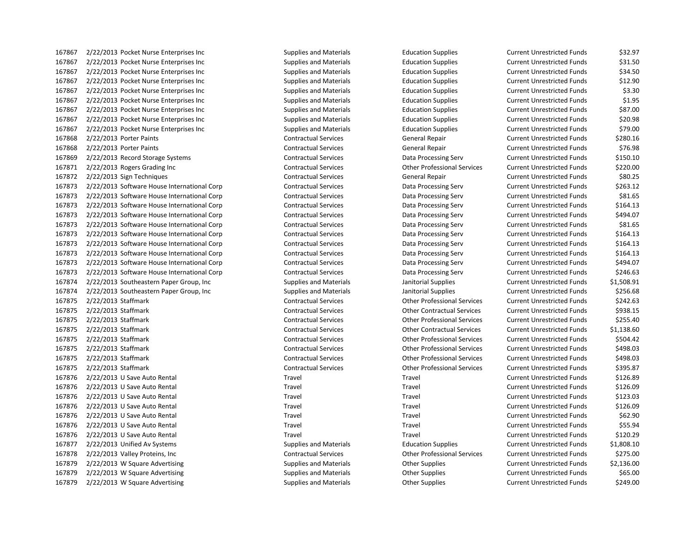2/22/2013 Pocket Nurse Enterprises Inc Supplies and Materials Education Supplies Current Unrestricted Funds \$32.97 2/22/2013 Pocket Nurse Enterprises Inc Supplies and Materials Education Supplies Current Unrestricted Funds \$31.50 2/22/2013 Pocket Nurse Enterprises Inc Supplies and Materials Education Supplies Current Unrestricted Funds \$34.50 2/22/2013 Pocket Nurse Enterprises Inc Supplies and Materials Education Supplies Current Unrestricted Funds \$12.90 2/22/2013 Pocket Nurse Enterprises Inc Supplies and Materials Education Supplies Current Unrestricted Funds \$3.30 2/22/2013 Pocket Nurse Enterprises Inc Supplies and Materials Education Supplies Current Unrestricted Funds \$1.95 2/22/2013 Pocket Nurse Enterprises Inc Supplies and Materials Education Supplies Current Unrestricted Funds \$87.00 2/22/2013 Pocket Nurse Enterprises Inc Supplies and Materials Education Supplies Current Unrestricted Funds \$20.98 2/22/2013 Pocket Nurse Enterprises Inc Supplies and Materials Education Supplies Current Unrestricted Funds \$79.00 2/22/2013 Porter Paints Contractual Services General Repair Current Unrestricted Funds \$280.16 2/22/2013 Porter Paints Contractual Services General Repair Current Unrestricted Funds \$76.98 2/22/2013 Record Storage Systems Contractual Services Data Processing Serv Current Unrestricted Funds \$150.10 2/22/2013 Rogers Grading Inc Contractual Services Other Professional Services Current Unrestricted Funds \$220.00 2/22/2013 Sign Techniques Contractual Services General Repair Current Unrestricted Funds \$80.25 2/22/2013 Software House International Corp Contractual Services Data Processing Serv Current Unrestricted Funds \$263.12 2/22/2013 Software House International Corp Contractual Services Data Processing Serv Current Unrestricted Funds \$81.65 2/22/2013 Software House International Corp Contractual Services Data Processing Serv Current Unrestricted Funds \$164.13 2/22/2013 Software House International Corp Contractual Services Data Processing Serv Current Unrestricted Funds \$494.07 2/22/2013 Software House International Corp Contractual Services Data Processing Serv Current Unrestricted Funds \$81.65 2/22/2013 Software House International Corp Contractual Services Data Processing Serv Current Unrestricted Funds \$164.13 2/22/2013 Software House International Corp Contractual Services Data Processing Serv Current Unrestricted Funds \$164.13 2/22/2013 Software House International Corp Contractual Services Data Processing Serv Current Unrestricted Funds \$164.13 2/22/2013 Software House International Corp Contractual Services Data Processing Serv Current Unrestricted Funds \$494.07 2/22/2013 Software House International Corp Contractual Services Data Processing Serv Current Unrestricted Funds \$246.63 2/22/2013 Southeastern Paper Group, Inc Supplies and Materials Janitorial Supplies Current Unrestricted Funds \$1,508.91 2/22/2013 Southeastern Paper Group, Inc Supplies and Materials Janitorial Supplies Current Unrestricted Funds \$256.68 2/22/2013 Staffmark Contractual Services Other Professional Services Current Unrestricted Funds \$242.63 2/22/2013 Staffmark Contractual Services Other Contractual Services Current Unrestricted Funds \$938.15 2/22/2013 Staffmark Contractual Services Other Professional Services Current Unrestricted Funds \$255.40 2/22/2013 Staffmark Contractual Services Other Contractual Services Current Unrestricted Funds \$1,138.60 2/22/2013 Staffmark Contractual Services Other Professional Services Current Unrestricted Funds \$504.42 2/22/2013 Staffmark Contractual Services Other Professional Services Current Unrestricted Funds \$498.03 2/22/2013 Staffmark Contractual Services Other Professional Services Current Unrestricted Funds \$498.03 2/22/2013 Staffmark Contractual Services Other Professional Services Current Unrestricted Funds \$395.87 2/22/2013 U Save Auto Rental Travel Travel Current Unrestricted Funds \$126.89 2/22/2013 U Save Auto Rental Travel Travel Current Unrestricted Funds \$126.09 2/22/2013 U Save Auto Rental Travel Travel Current Unrestricted Funds \$123.03 2/22/2013 U Save Auto Rental Travel Travel Current Unrestricted Funds \$126.09 2/22/2013 U Save Auto Rental Travel Travel Current Unrestricted Funds \$62.90 2/22/2013 U Save Auto Rental Travel Travel Current Unrestricted Funds \$55.94 2/22/2013 U Save Auto Rental Travel Travel Current Unrestricted Funds \$120.29 2/22/2013 Unified Av Systems Supplies and Materials Education Supplies Current Unrestricted Funds \$1,808.10 2/22/2013 Valley Proteins, Inc Contractual Services Other Professional Services Current Unrestricted Funds \$275.00 2/22/2013 W Square Advertising Supplies and Materials Other Supplies Current Unrestricted Funds \$2,136.00 2/22/2013 W Square Advertising Supplies and Materials Other Supplies Current Unrestricted Funds \$65.00 2/22/2013 W Square Advertising Supplies and Materials Other Supplies Current Unrestricted Funds \$249.00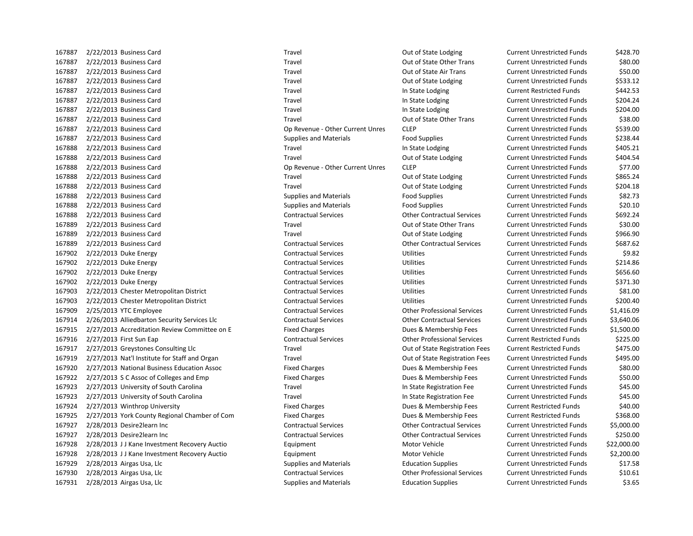2/22/2013 Business Card Travel Out of State Lodging Current Unrestricted Funds \$428.70 2/22/2013 Business Card Travel Out of State Other Trans Current Unrestricted Funds \$80.00 2/22/2013 Business Card Travel Out of State Air Trans Current Unrestricted Funds \$50.00 2/22/2013 Business Card Travel Out of State Lodging Current Unrestricted Funds \$533.12 167887 2/22/2013 Business Card Travel Travel Travel Current Restricted Funds \$442.53 2/22/2013 Business Card Travel In State Lodging Current Unrestricted Funds \$204.24 2/22/2013 Business Card Travel In State Lodging Current Unrestricted Funds \$204.00 2/22/2013 Business Card Travel Out of State Other Trans Current Unrestricted Funds \$38.00 2/22/2013 Business Card Op Revenue - Other Current Unres CLEP Current Unrestricted Funds \$539.00 2/22/2013 Business Card Supplies and Materials Food Supplies Current Unrestricted Funds \$238.44 2/22/2013 Business Card Travel In State Lodging Current Unrestricted Funds \$405.21 2/22/2013 Business Card Travel Out of State Lodging Current Unrestricted Funds \$404.54 2/22/2013 Business Card Op Revenue - Other Current Unres CLEP Current Unrestricted Funds \$77.00 2/22/2013 Business Card Travel Out of State Lodging Current Unrestricted Funds \$865.24 2/22/2013 Business Card Travel Out of State Lodging Current Unrestricted Funds \$204.18 2/22/2013 Business Card Supplies and Materials Food Supplies Current Unrestricted Funds \$82.73 2/22/2013 Business Card Supplies and Materials Food Supplies Current Unrestricted Funds \$20.10 2/22/2013 Business Card Contractual Services Other Contractual Services Current Unrestricted Funds \$692.24 2/22/2013 Business Card Travel Out of State Other Trans Current Unrestricted Funds \$30.00 2/22/2013 Business Card Travel Out of State Lodging Current Unrestricted Funds \$966.90 2/22/2013 Business Card Contractual Services Other Contractual Services Current Unrestricted Funds \$687.62 2/22/2013 Duke Energy Contractual Services Utilities Current Unrestricted Funds \$9.82 2/22/2013 Duke Energy Contractual Services Utilities Current Unrestricted Funds \$214.86 2/22/2013 Duke Energy Contractual Services Utilities Current Unrestricted Funds \$656.60 2/22/2013 Duke Energy Contractual Services Utilities Current Unrestricted Funds \$371.30 2/22/2013 Chester Metropolitan District Contractual Services Utilities Current Unrestricted Funds \$81.00 2/22/2013 Chester Metropolitan District Contractual Services Utilities Current Unrestricted Funds \$200.40 2/25/2013 YTC Employee Contractual Services Other Professional Services Current Unrestricted Funds \$1,416.09 2/26/2013 Alliedbarton Security Services Llc Contractual Services Other Contractual Services Current Unrestricted Funds \$3,640.06 2/27/2013 Accreditation Review Committee on E Fixed Charges Dues & Membership Fees Current Unrestricted Funds \$1,500.00 2/27/2013 First Sun Eap Contractual Services Other Professional Services Current Restricted Funds \$225.00 2/27/2013 Greystones Consulting Llc Travel Out of State Registration Fees Current Restricted Funds \$475.00 2/27/2013 Nat'l Institute for Staff and Organ Travel Out of State Registration Fees Current Unrestricted Funds \$495.00 2/27/2013 National Business Education Assoc Fixed Charges Dues & Membership Fees Current Unrestricted Funds \$80.00 2/27/2013 S C Assoc of Colleges and Emp Fixed Charges Dues & Membership Fees Current Unrestricted Funds \$50.00 2/27/2013 University of South Carolina Travel In State Registration Fee Current Unrestricted Funds \$45.00 2/27/2013 University of South Carolina Travel In State Registration Fee Current Unrestricted Funds \$45.00 2/27/2013 Winthrop University Fixed Charges Dues & Membership Fees Current Restricted Funds \$40.00 2/27/2013 York County Regional Chamber of Com Fixed Charges Dues & Membership Fees Current Restricted Funds \$368.00 2/28/2013 Desire2learn Inc Contractual Services Other Contractual Services Current Unrestricted Funds \$5,000.00 2/28/2013 Desire2learn Inc Contractual Services Other Contractual Services Current Unrestricted Funds \$250.00 2/28/2013 J J Kane Investment Recovery Auctio Equipment Motor Vehicle Current Unrestricted Funds \$22,000.00 2/28/2013 J J Kane Investment Recovery Auctio Equipment Motor Vehicle Current Unrestricted Funds \$2,200.00 2/28/2013 Airgas Usa, Llc Supplies and Materials Education Supplies Current Unrestricted Funds \$17.58 2/28/2013 Airgas Usa, Llc Contractual Services Other Professional Services Current Unrestricted Funds \$10.61

2/28/2013 Airgas Usa, Llc Supplies and Materials Education Supplies Current Unrestricted Funds \$3.65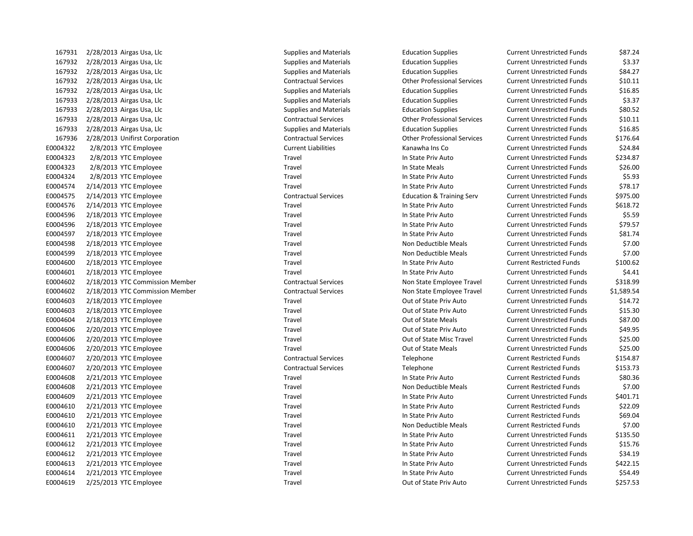| 167931   | 2/28/2013 Airgas Usa, Llc       | Supplies and Materials        | <b>Education Supplies</b>            | <b>Current Unrestricted Funds</b> | \$87.24    |
|----------|---------------------------------|-------------------------------|--------------------------------------|-----------------------------------|------------|
| 167932   | 2/28/2013 Airgas Usa, Llc       | Supplies and Materials        | <b>Education Supplies</b>            | <b>Current Unrestricted Funds</b> | \$3.37     |
| 167932   | 2/28/2013 Airgas Usa, Llc       | <b>Supplies and Materials</b> | <b>Education Supplies</b>            | <b>Current Unrestricted Funds</b> | \$84.27    |
| 167932   | 2/28/2013 Airgas Usa, Llc       | <b>Contractual Services</b>   | <b>Other Professional Services</b>   | <b>Current Unrestricted Funds</b> | \$10.11    |
| 167932   | 2/28/2013 Airgas Usa, Llc       | <b>Supplies and Materials</b> | <b>Education Supplies</b>            | <b>Current Unrestricted Funds</b> | \$16.85    |
| 167933   | 2/28/2013 Airgas Usa, Llc       | <b>Supplies and Materials</b> | <b>Education Supplies</b>            | <b>Current Unrestricted Funds</b> | \$3.37     |
| 167933   | $2/28/2013$ Airgas Usa, Llc     | <b>Supplies and Materials</b> | <b>Education Supplies</b>            | <b>Current Unrestricted Funds</b> | \$80.52    |
| 167933   | 2/28/2013 Airgas Usa, Llc       | <b>Contractual Services</b>   | <b>Other Professional Services</b>   | <b>Current Unrestricted Funds</b> | \$10.11    |
| 167933   | 2/28/2013 Airgas Usa, Llc       | <b>Supplies and Materials</b> | <b>Education Supplies</b>            | <b>Current Unrestricted Funds</b> | \$16.85    |
| 167936   | 2/28/2013 Unifirst Corporation  | <b>Contractual Services</b>   | <b>Other Professional Services</b>   | <b>Current Unrestricted Funds</b> | \$176.64   |
| E0004322 | 2/8/2013 YTC Employee           | <b>Current Liabilities</b>    | Kanawha Ins Co                       | <b>Current Unrestricted Funds</b> | \$24.84    |
| E0004323 | 2/8/2013 YTC Employee           | Travel                        | In State Priv Auto                   | <b>Current Unrestricted Funds</b> | \$234.87   |
| E0004323 | 2/8/2013 YTC Employee           | Travel                        | In State Meals                       | <b>Current Unrestricted Funds</b> | \$26.00    |
| E0004324 | 2/8/2013 YTC Employee           | Travel                        | In State Priv Auto                   | <b>Current Unrestricted Funds</b> | \$5.93     |
| E0004574 | $2/14/2013$ YTC Employee        | Travel                        | In State Priv Auto                   | <b>Current Unrestricted Funds</b> | \$78.17    |
| E0004575 | $2/14/2013$ YTC Employee        | <b>Contractual Services</b>   | <b>Education &amp; Training Serv</b> | <b>Current Unrestricted Funds</b> | \$975.00   |
| E0004576 | 2/14/2013 YTC Employee          | Travel                        | In State Priv Auto                   | <b>Current Unrestricted Funds</b> | \$618.72   |
| E0004596 | 2/18/2013 YTC Employee          | Travel                        | In State Priv Auto                   | <b>Current Unrestricted Funds</b> | \$5.59     |
| E0004596 | 2/18/2013 YTC Employee          | Travel                        | In State Priv Auto                   | <b>Current Unrestricted Funds</b> | \$79.57    |
| E0004597 | 2/18/2013 YTC Employee          | Travel                        | In State Priv Auto                   | <b>Current Unrestricted Funds</b> | \$81.74    |
| E0004598 | 2/18/2013 YTC Employee          | Travel                        | Non Deductible Meals                 | <b>Current Unrestricted Funds</b> | \$7.00     |
| E0004599 | 2/18/2013 YTC Employee          | Travel                        | Non Deductible Meals                 | <b>Current Unrestricted Funds</b> | \$7.00     |
| E0004600 | 2/18/2013 YTC Employee          | Travel                        | In State Priv Auto                   | <b>Current Restricted Funds</b>   | \$100.62   |
| E0004601 | 2/18/2013 YTC Employee          | Travel                        | In State Priv Auto                   | <b>Current Unrestricted Funds</b> | \$4.41     |
| E0004602 | 2/18/2013 YTC Commission Member | <b>Contractual Services</b>   | Non State Employee Travel            | <b>Current Unrestricted Funds</b> | \$318.99   |
| E0004602 | 2/18/2013 YTC Commission Member | <b>Contractual Services</b>   | Non State Employee Travel            | <b>Current Unrestricted Funds</b> | \$1,589.54 |
| E0004603 | 2/18/2013 YTC Employee          | Travel                        | Out of State Priv Auto               | <b>Current Unrestricted Funds</b> | \$14.72    |
| E0004603 | 2/18/2013 YTC Employee          | Travel                        | Out of State Priv Auto               | <b>Current Unrestricted Funds</b> | \$15.30    |
| E0004604 | 2/18/2013 YTC Employee          | Travel                        | Out of State Meals                   | <b>Current Unrestricted Funds</b> | \$87.00    |
| E0004606 | 2/20/2013 YTC Employee          | Travel                        | Out of State Priv Auto               | <b>Current Unrestricted Funds</b> | \$49.95    |
| E0004606 | 2/20/2013 YTC Employee          | Travel                        | Out of State Misc Travel             | <b>Current Unrestricted Funds</b> | \$25.00    |
| E0004606 | 2/20/2013 YTC Employee          | Travel                        | Out of State Meals                   | <b>Current Unrestricted Funds</b> | \$25.00    |
| E0004607 | 2/20/2013 YTC Employee          | <b>Contractual Services</b>   | Telephone                            | <b>Current Restricted Funds</b>   | \$154.87   |
| E0004607 | 2/20/2013 YTC Employee          | <b>Contractual Services</b>   | Telephone                            | <b>Current Restricted Funds</b>   | \$153.73   |
| E0004608 | $2/21/2013$ YTC Employee        | Travel                        | In State Priv Auto                   | <b>Current Restricted Funds</b>   | \$80.36    |
| E0004608 | $2/21/2013$ YTC Employee        | Travel                        | Non Deductible Meals                 | <b>Current Restricted Funds</b>   | \$7.00     |
| E0004609 | 2/21/2013 YTC Employee          | Travel                        | In State Priv Auto                   | <b>Current Unrestricted Funds</b> | \$401.71   |
| E0004610 | 2/21/2013 YTC Employee          | Travel                        | In State Priv Auto                   | <b>Current Restricted Funds</b>   | \$22.09    |
| E0004610 | 2/21/2013 YTC Employee          | Travel                        | In State Priv Auto                   | <b>Current Restricted Funds</b>   | \$69.04    |
| E0004610 | 2/21/2013 YTC Employee          | Travel                        | Non Deductible Meals                 | <b>Current Restricted Funds</b>   | \$7.00     |
| E0004611 | 2/21/2013 YTC Employee          | Travel                        | In State Priv Auto                   | <b>Current Unrestricted Funds</b> | \$135.50   |
| E0004612 | 2/21/2013 YTC Employee          | Travel                        | In State Priv Auto                   | <b>Current Unrestricted Funds</b> | \$15.76    |
| E0004612 | $2/21/2013$ YTC Employee        | Travel                        | In State Priv Auto                   | <b>Current Unrestricted Funds</b> | \$34.19    |
| E0004613 | 2/21/2013 YTC Employee          | Travel                        | In State Priv Auto                   | <b>Current Unrestricted Funds</b> | \$422.15   |
| E0004614 | 2/21/2013 YTC Employee          | Travel                        | In State Priv Auto                   | <b>Current Unrestricted Funds</b> | \$54.49    |
| E0004619 | 2/25/2013 YTC Employee          | Travel                        | Out of State Priv Auto               | <b>Current Unrestricted Funds</b> | \$257.53   |